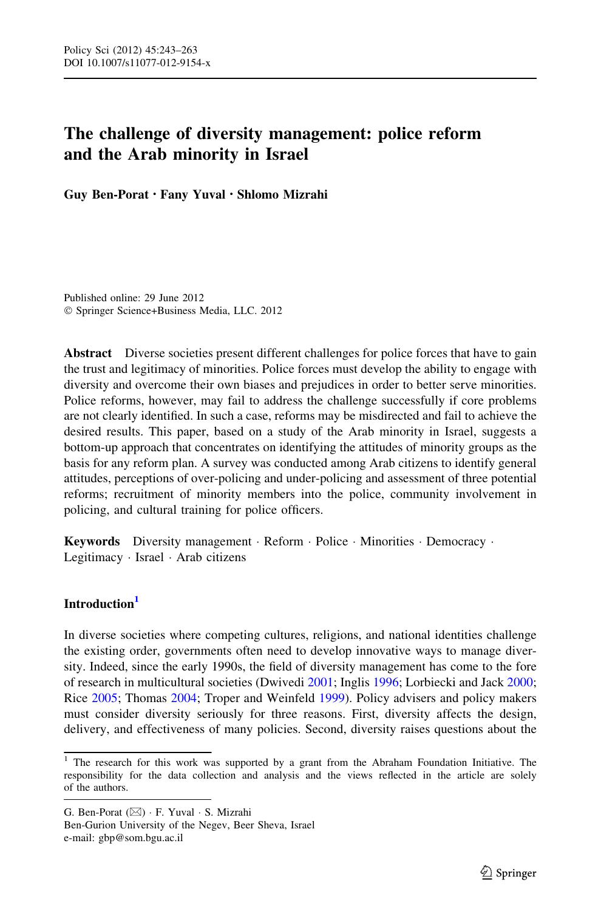# The challenge of diversity management: police reform and the Arab minority in Israel

Guy Ben-Porat • Fany Yuval • Shlomo Mizrahi

Published online: 29 June 2012 - Springer Science+Business Media, LLC. 2012

Abstract Diverse societies present different challenges for police forces that have to gain the trust and legitimacy of minorities. Police forces must develop the ability to engage with diversity and overcome their own biases and prejudices in order to better serve minorities. Police reforms, however, may fail to address the challenge successfully if core problems are not clearly identified. In such a case, reforms may be misdirected and fail to achieve the desired results. This paper, based on a study of the Arab minority in Israel, suggests a bottom-up approach that concentrates on identifying the attitudes of minority groups as the basis for any reform plan. A survey was conducted among Arab citizens to identify general attitudes, perceptions of over-policing and under-policing and assessment of three potential reforms; recruitment of minority members into the police, community involvement in policing, and cultural training for police officers.

Keywords Diversity management · Reform · Police · Minorities · Democracy · Legitimacy - Israel - Arab citizens

# Introduction<sup>1</sup>

In diverse societies where competing cultures, religions, and national identities challenge the existing order, governments often need to develop innovative ways to manage diversity. Indeed, since the early 1990s, the field of diversity management has come to the fore of research in multicultural societies (Dwivedi [2001;](#page-18-0) Inglis [1996;](#page-19-0) Lorbiecki and Jack [2000;](#page-19-0) Rice [2005](#page-20-0); Thomas [2004](#page-20-0); Troper and Weinfeld [1999](#page-20-0)). Policy advisers and policy makers must consider diversity seriously for three reasons. First, diversity affects the design, delivery, and effectiveness of many policies. Second, diversity raises questions about the

Ben-Gurion University of the Negev, Beer Sheva, Israel e-mail: gbp@som.bgu.ac.il

<sup>&</sup>lt;sup>1</sup> The research for this work was supported by a grant from the Abraham Foundation Initiative. The responsibility for the data collection and analysis and the views reflected in the article are solely of the authors.

G. Ben-Porat  $(\boxtimes) \cdot F$ . Yuval  $\cdot S$ . Mizrahi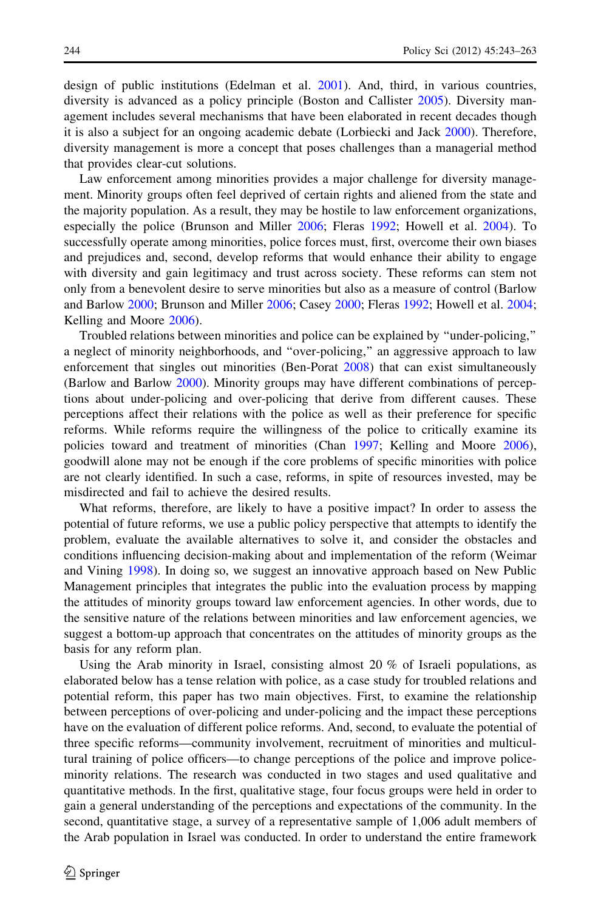design of public institutions (Edelman et al. [2001](#page-19-0)). And, third, in various countries, diversity is advanced as a policy principle (Boston and Callister [2005\)](#page-18-0). Diversity management includes several mechanisms that have been elaborated in recent decades though it is also a subject for an ongoing academic debate (Lorbiecki and Jack [2000](#page-19-0)). Therefore, diversity management is more a concept that poses challenges than a managerial method that provides clear-cut solutions.

Law enforcement among minorities provides a major challenge for diversity management. Minority groups often feel deprived of certain rights and aliened from the state and the majority population. As a result, they may be hostile to law enforcement organizations, especially the police (Brunson and Miller [2006;](#page-18-0) Fleras [1992;](#page-19-0) Howell et al. [2004](#page-19-0)). To successfully operate among minorities, police forces must, first, overcome their own biases and prejudices and, second, develop reforms that would enhance their ability to engage with diversity and gain legitimacy and trust across society. These reforms can stem not only from a benevolent desire to serve minorities but also as a measure of control (Barlow and Barlow [2000](#page-18-0); Brunson and Miller [2006;](#page-18-0) Casey [2000;](#page-18-0) Fleras [1992;](#page-19-0) Howell et al. [2004;](#page-19-0) Kelling and Moore [2006\)](#page-19-0).

Troubled relations between minorities and police can be explained by ''under-policing,'' a neglect of minority neighborhoods, and ''over-policing,'' an aggressive approach to law enforcement that singles out minorities (Ben-Porat [2008](#page-18-0)) that can exist simultaneously (Barlow and Barlow [2000\)](#page-18-0). Minority groups may have different combinations of perceptions about under-policing and over-policing that derive from different causes. These perceptions affect their relations with the police as well as their preference for specific reforms. While reforms require the willingness of the police to critically examine its policies toward and treatment of minorities (Chan [1997](#page-18-0); Kelling and Moore [2006](#page-19-0)), goodwill alone may not be enough if the core problems of specific minorities with police are not clearly identified. In such a case, reforms, in spite of resources invested, may be misdirected and fail to achieve the desired results.

What reforms, therefore, are likely to have a positive impact? In order to assess the potential of future reforms, we use a public policy perspective that attempts to identify the problem, evaluate the available alternatives to solve it, and consider the obstacles and conditions influencing decision-making about and implementation of the reform (Weimar and Vining [1998](#page-20-0)). In doing so, we suggest an innovative approach based on New Public Management principles that integrates the public into the evaluation process by mapping the attitudes of minority groups toward law enforcement agencies. In other words, due to the sensitive nature of the relations between minorities and law enforcement agencies, we suggest a bottom-up approach that concentrates on the attitudes of minority groups as the basis for any reform plan.

Using the Arab minority in Israel, consisting almost 20 % of Israeli populations, as elaborated below has a tense relation with police, as a case study for troubled relations and potential reform, this paper has two main objectives. First, to examine the relationship between perceptions of over-policing and under-policing and the impact these perceptions have on the evaluation of different police reforms. And, second, to evaluate the potential of three specific reforms—community involvement, recruitment of minorities and multicultural training of police officers—to change perceptions of the police and improve policeminority relations. The research was conducted in two stages and used qualitative and quantitative methods. In the first, qualitative stage, four focus groups were held in order to gain a general understanding of the perceptions and expectations of the community. In the second, quantitative stage, a survey of a representative sample of 1,006 adult members of the Arab population in Israel was conducted. In order to understand the entire framework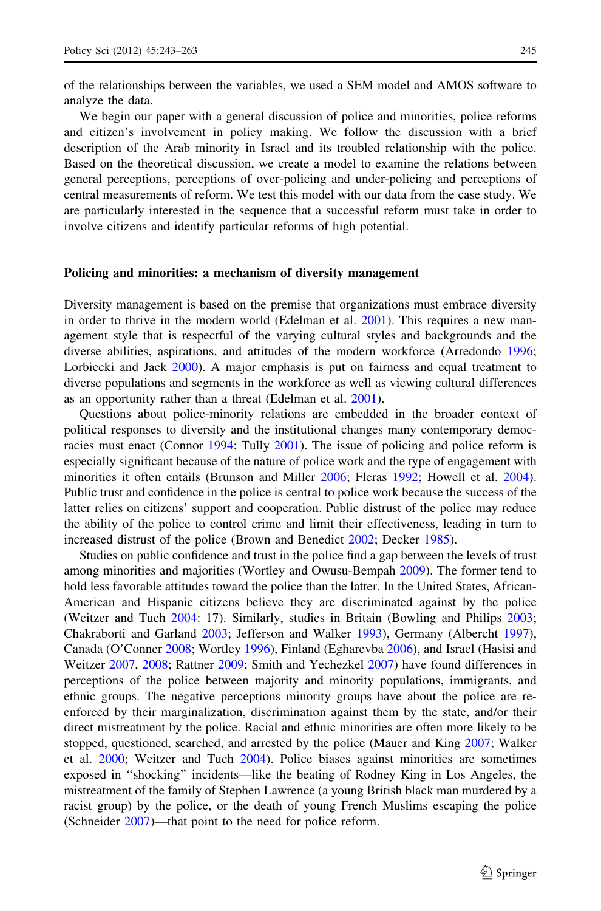of the relationships between the variables, we used a SEM model and AMOS software to analyze the data.

We begin our paper with a general discussion of police and minorities, police reforms and citizen's involvement in policy making. We follow the discussion with a brief description of the Arab minority in Israel and its troubled relationship with the police. Based on the theoretical discussion, we create a model to examine the relations between general perceptions, perceptions of over-policing and under-policing and perceptions of central measurements of reform. We test this model with our data from the case study. We are particularly interested in the sequence that a successful reform must take in order to involve citizens and identify particular reforms of high potential.

## Policing and minorities: a mechanism of diversity management

Diversity management is based on the premise that organizations must embrace diversity in order to thrive in the modern world (Edelman et al. [2001](#page-19-0)). This requires a new management style that is respectful of the varying cultural styles and backgrounds and the diverse abilities, aspirations, and attitudes of the modern workforce (Arredondo [1996;](#page-18-0) Lorbiecki and Jack [2000\)](#page-19-0). A major emphasis is put on fairness and equal treatment to diverse populations and segments in the workforce as well as viewing cultural differences as an opportunity rather than a threat (Edelman et al. [2001\)](#page-19-0).

Questions about police-minority relations are embedded in the broader context of political responses to diversity and the institutional changes many contemporary democ-racies must enact (Connor [1994;](#page-18-0) Tully [2001](#page-20-0)). The issue of policing and police reform is especially significant because of the nature of police work and the type of engagement with minorities it often entails (Brunson and Miller [2006;](#page-18-0) Fleras [1992](#page-19-0); Howell et al. [2004](#page-19-0)). Public trust and confidence in the police is central to police work because the success of the latter relies on citizens' support and cooperation. Public distrust of the police may reduce the ability of the police to control crime and limit their effectiveness, leading in turn to increased distrust of the police (Brown and Benedict [2002;](#page-18-0) Decker [1985](#page-18-0)).

Studies on public confidence and trust in the police find a gap between the levels of trust among minorities and majorities (Wortley and Owusu-Bempah [2009](#page-20-0)). The former tend to hold less favorable attitudes toward the police than the latter. In the United States, African-American and Hispanic citizens believe they are discriminated against by the police (Weitzer and Tuch [2004](#page-20-0): 17). Similarly, studies in Britain (Bowling and Philips [2003;](#page-18-0) Chakraborti and Garland [2003;](#page-18-0) Jefferson and Walker [1993\)](#page-19-0), Germany (Albercht [1997](#page-18-0)), Canada (O'Conner [2008](#page-19-0); Wortley [1996\)](#page-20-0), Finland (Egharevba [2006](#page-19-0)), and Israel (Hasisi and Weitzer [2007,](#page-19-0) [2008;](#page-19-0) Rattner [2009](#page-20-0); Smith and Yechezkel [2007](#page-20-0)) have found differences in perceptions of the police between majority and minority populations, immigrants, and ethnic groups. The negative perceptions minority groups have about the police are reenforced by their marginalization, discrimination against them by the state, and/or their direct mistreatment by the police. Racial and ethnic minorities are often more likely to be stopped, questioned, searched, and arrested by the police (Mauer and King [2007;](#page-19-0) Walker et al. [2000](#page-20-0); Weitzer and Tuch [2004\)](#page-20-0). Police biases against minorities are sometimes exposed in ''shocking'' incidents—like the beating of Rodney King in Los Angeles, the mistreatment of the family of Stephen Lawrence (a young British black man murdered by a racist group) by the police, or the death of young French Muslims escaping the police (Schneider [2007\)](#page-20-0)—that point to the need for police reform.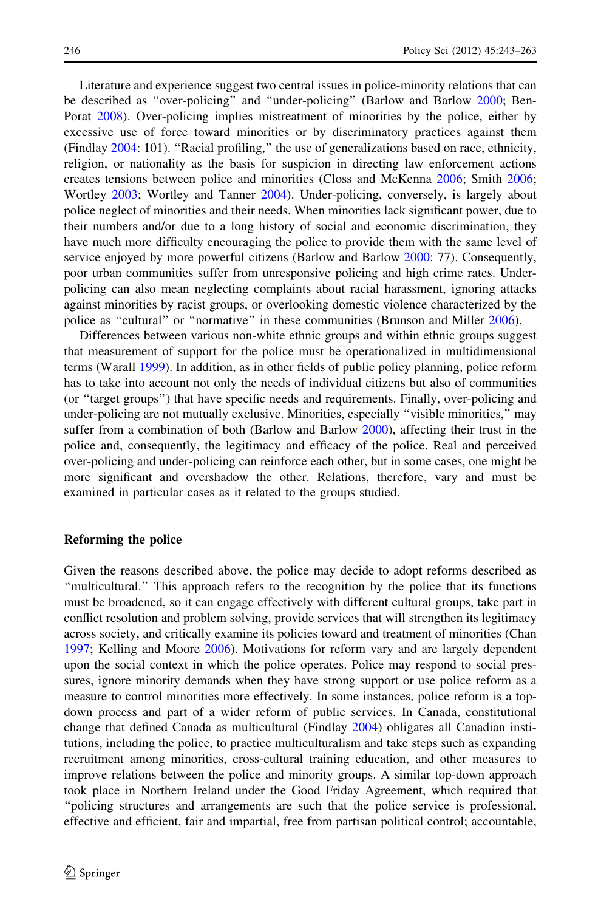Literature and experience suggest two central issues in police-minority relations that can be described as ''over-policing'' and ''under-policing'' (Barlow and Barlow [2000;](#page-18-0) Ben-Porat [2008\)](#page-18-0). Over-policing implies mistreatment of minorities by the police, either by excessive use of force toward minorities or by discriminatory practices against them (Findlay [2004](#page-19-0): 101). ''Racial profiling,'' the use of generalizations based on race, ethnicity, religion, or nationality as the basis for suspicion in directing law enforcement actions creates tensions between police and minorities (Closs and McKenna [2006](#page-18-0); Smith [2006;](#page-20-0) Wortley [2003;](#page-20-0) Wortley and Tanner [2004\)](#page-20-0). Under-policing, conversely, is largely about police neglect of minorities and their needs. When minorities lack significant power, due to their numbers and/or due to a long history of social and economic discrimination, they have much more difficulty encouraging the police to provide them with the same level of service enjoyed by more powerful citizens (Barlow and Barlow [2000](#page-18-0): 77). Consequently, poor urban communities suffer from unresponsive policing and high crime rates. Underpolicing can also mean neglecting complaints about racial harassment, ignoring attacks against minorities by racist groups, or overlooking domestic violence characterized by the police as "cultural" or "normative" in these communities (Brunson and Miller [2006](#page-18-0)).

Differences between various non-white ethnic groups and within ethnic groups suggest that measurement of support for the police must be operationalized in multidimensional terms (Warall [1999\)](#page-20-0). In addition, as in other fields of public policy planning, police reform has to take into account not only the needs of individual citizens but also of communities (or ''target groups'') that have specific needs and requirements. Finally, over-policing and under-policing are not mutually exclusive. Minorities, especially ''visible minorities,'' may suffer from a combination of both (Barlow and Barlow [2000](#page-18-0)), affecting their trust in the police and, consequently, the legitimacy and efficacy of the police. Real and perceived over-policing and under-policing can reinforce each other, but in some cases, one might be more significant and overshadow the other. Relations, therefore, vary and must be examined in particular cases as it related to the groups studied.

#### Reforming the police

Given the reasons described above, the police may decide to adopt reforms described as ''multicultural.'' This approach refers to the recognition by the police that its functions must be broadened, so it can engage effectively with different cultural groups, take part in conflict resolution and problem solving, provide services that will strengthen its legitimacy across society, and critically examine its policies toward and treatment of minorities (Chan [1997;](#page-18-0) Kelling and Moore [2006\)](#page-19-0). Motivations for reform vary and are largely dependent upon the social context in which the police operates. Police may respond to social pressures, ignore minority demands when they have strong support or use police reform as a measure to control minorities more effectively. In some instances, police reform is a topdown process and part of a wider reform of public services. In Canada, constitutional change that defined Canada as multicultural (Findlay [2004](#page-19-0)) obligates all Canadian institutions, including the police, to practice multiculturalism and take steps such as expanding recruitment among minorities, cross-cultural training education, and other measures to improve relations between the police and minority groups. A similar top-down approach took place in Northern Ireland under the Good Friday Agreement, which required that ''policing structures and arrangements are such that the police service is professional, effective and efficient, fair and impartial, free from partisan political control; accountable,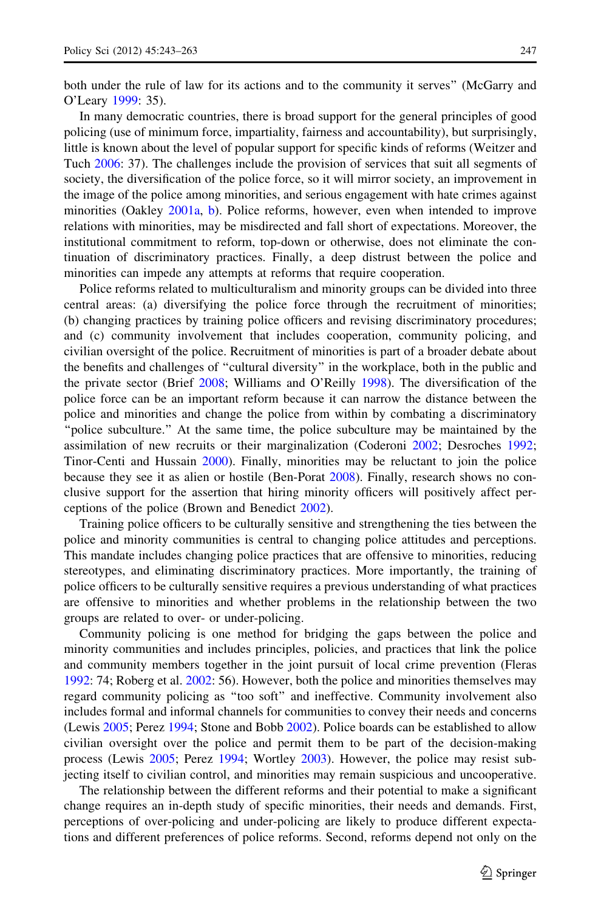both under the rule of law for its actions and to the community it serves'' (McGarry and O'Leary [1999:](#page-19-0) 35).

In many democratic countries, there is broad support for the general principles of good policing (use of minimum force, impartiality, fairness and accountability), but surprisingly, little is known about the level of popular support for specific kinds of reforms (Weitzer and Tuch [2006](#page-20-0): 37). The challenges include the provision of services that suit all segments of society, the diversification of the police force, so it will mirror society, an improvement in the image of the police among minorities, and serious engagement with hate crimes against minorities (Oakley [2001a](#page-19-0), [b](#page-19-0)). Police reforms, however, even when intended to improve relations with minorities, may be misdirected and fall short of expectations. Moreover, the institutional commitment to reform, top-down or otherwise, does not eliminate the continuation of discriminatory practices. Finally, a deep distrust between the police and minorities can impede any attempts at reforms that require cooperation.

Police reforms related to multiculturalism and minority groups can be divided into three central areas: (a) diversifying the police force through the recruitment of minorities; (b) changing practices by training police officers and revising discriminatory procedures; and (c) community involvement that includes cooperation, community policing, and civilian oversight of the police. Recruitment of minorities is part of a broader debate about the benefits and challenges of ''cultural diversity'' in the workplace, both in the public and the private sector (Brief [2008](#page-18-0); Williams and O'Reilly [1998](#page-20-0)). The diversification of the police force can be an important reform because it can narrow the distance between the police and minorities and change the police from within by combating a discriminatory ''police subculture.'' At the same time, the police subculture may be maintained by the assimilation of new recruits or their marginalization (Coderoni [2002;](#page-18-0) Desroches [1992;](#page-18-0) Tinor-Centi and Hussain [2000\)](#page-20-0). Finally, minorities may be reluctant to join the police because they see it as alien or hostile (Ben-Porat [2008](#page-18-0)). Finally, research shows no conclusive support for the assertion that hiring minority officers will positively affect perceptions of the police (Brown and Benedict [2002\)](#page-18-0).

Training police officers to be culturally sensitive and strengthening the ties between the police and minority communities is central to changing police attitudes and perceptions. This mandate includes changing police practices that are offensive to minorities, reducing stereotypes, and eliminating discriminatory practices. More importantly, the training of police officers to be culturally sensitive requires a previous understanding of what practices are offensive to minorities and whether problems in the relationship between the two groups are related to over- or under-policing.

Community policing is one method for bridging the gaps between the police and minority communities and includes principles, policies, and practices that link the police and community members together in the joint pursuit of local crime prevention (Fleras [1992:](#page-19-0) 74; Roberg et al. [2002:](#page-20-0) 56). However, both the police and minorities themselves may regard community policing as ''too soft'' and ineffective. Community involvement also includes formal and informal channels for communities to convey their needs and concerns (Lewis [2005](#page-19-0); Perez [1994;](#page-19-0) Stone and Bobb [2002\)](#page-20-0). Police boards can be established to allow civilian oversight over the police and permit them to be part of the decision-making process (Lewis [2005](#page-19-0); Perez [1994;](#page-19-0) Wortley [2003](#page-20-0)). However, the police may resist subjecting itself to civilian control, and minorities may remain suspicious and uncooperative.

The relationship between the different reforms and their potential to make a significant change requires an in-depth study of specific minorities, their needs and demands. First, perceptions of over-policing and under-policing are likely to produce different expectations and different preferences of police reforms. Second, reforms depend not only on the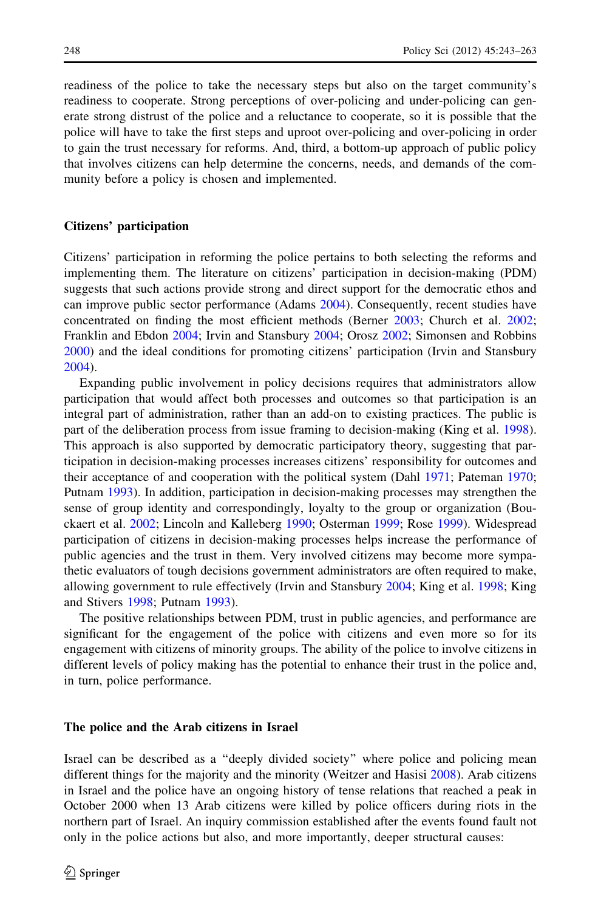readiness of the police to take the necessary steps but also on the target community's readiness to cooperate. Strong perceptions of over-policing and under-policing can generate strong distrust of the police and a reluctance to cooperate, so it is possible that the police will have to take the first steps and uproot over-policing and over-policing in order to gain the trust necessary for reforms. And, third, a bottom-up approach of public policy that involves citizens can help determine the concerns, needs, and demands of the community before a policy is chosen and implemented.

#### Citizens' participation

Citizens' participation in reforming the police pertains to both selecting the reforms and implementing them. The literature on citizens' participation in decision-making (PDM) suggests that such actions provide strong and direct support for the democratic ethos and can improve public sector performance (Adams [2004](#page-18-0)). Consequently, recent studies have concentrated on finding the most efficient methods (Berner [2003](#page-18-0); Church et al. [2002;](#page-18-0) Franklin and Ebdon [2004](#page-19-0); Irvin and Stansbury [2004](#page-19-0); Orosz [2002](#page-19-0); Simonsen and Robbins [2000\)](#page-20-0) and the ideal conditions for promoting citizens' participation (Irvin and Stansbury [2004\)](#page-19-0).

Expanding public involvement in policy decisions requires that administrators allow participation that would affect both processes and outcomes so that participation is an integral part of administration, rather than an add-on to existing practices. The public is part of the deliberation process from issue framing to decision-making (King et al. [1998](#page-19-0)). This approach is also supported by democratic participatory theory, suggesting that participation in decision-making processes increases citizens' responsibility for outcomes and their acceptance of and cooperation with the political system (Dahl [1971](#page-18-0); Pateman [1970;](#page-19-0) Putnam [1993\)](#page-19-0). In addition, participation in decision-making processes may strengthen the sense of group identity and correspondingly, loyalty to the group or organization (Bouckaert et al. [2002;](#page-18-0) Lincoln and Kalleberg [1990](#page-19-0); Osterman [1999](#page-19-0); Rose [1999\)](#page-20-0). Widespread participation of citizens in decision-making processes helps increase the performance of public agencies and the trust in them. Very involved citizens may become more sympathetic evaluators of tough decisions government administrators are often required to make, allowing government to rule effectively (Irvin and Stansbury [2004](#page-19-0); King et al. [1998](#page-19-0); King and Stivers [1998](#page-19-0); Putnam [1993\)](#page-19-0).

The positive relationships between PDM, trust in public agencies, and performance are significant for the engagement of the police with citizens and even more so for its engagement with citizens of minority groups. The ability of the police to involve citizens in different levels of policy making has the potential to enhance their trust in the police and, in turn, police performance.

#### The police and the Arab citizens in Israel

Israel can be described as a ''deeply divided society'' where police and policing mean different things for the majority and the minority (Weitzer and Hasisi [2008\)](#page-20-0). Arab citizens in Israel and the police have an ongoing history of tense relations that reached a peak in October 2000 when 13 Arab citizens were killed by police officers during riots in the northern part of Israel. An inquiry commission established after the events found fault not only in the police actions but also, and more importantly, deeper structural causes: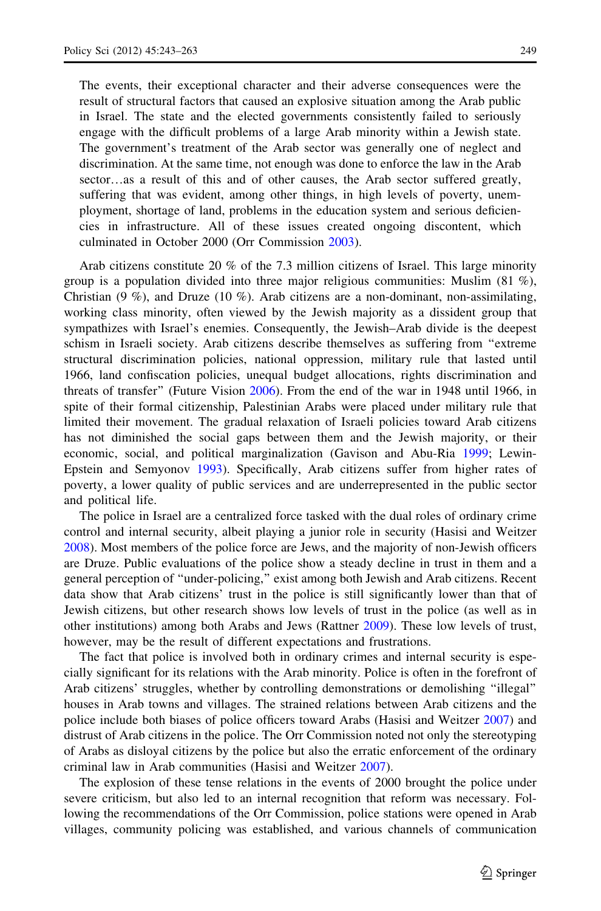The events, their exceptional character and their adverse consequences were the result of structural factors that caused an explosive situation among the Arab public in Israel. The state and the elected governments consistently failed to seriously engage with the difficult problems of a large Arab minority within a Jewish state. The government's treatment of the Arab sector was generally one of neglect and discrimination. At the same time, not enough was done to enforce the law in the Arab

sector…as a result of this and of other causes, the Arab sector suffered greatly, suffering that was evident, among other things, in high levels of poverty, unemployment, shortage of land, problems in the education system and serious deficiencies in infrastructure. All of these issues created ongoing discontent, which culminated in October 2000 (Orr Commission [2003](#page-19-0)).

Arab citizens constitute 20 % of the 7.3 million citizens of Israel. This large minority group is a population divided into three major religious communities: Muslim  $(81 \%)$ , Christian  $(9\%)$ , and Druze  $(10\%)$ . Arab citizens are a non-dominant, non-assimilating, working class minority, often viewed by the Jewish majority as a dissident group that sympathizes with Israel's enemies. Consequently, the Jewish–Arab divide is the deepest schism in Israeli society. Arab citizens describe themselves as suffering from ''extreme structural discrimination policies, national oppression, military rule that lasted until 1966, land confiscation policies, unequal budget allocations, rights discrimination and threats of transfer'' (Future Vision [2006](#page-20-0)). From the end of the war in 1948 until 1966, in spite of their formal citizenship, Palestinian Arabs were placed under military rule that limited their movement. The gradual relaxation of Israeli policies toward Arab citizens has not diminished the social gaps between them and the Jewish majority, or their economic, social, and political marginalization (Gavison and Abu-Ria [1999](#page-19-0); Lewin-Epstein and Semyonov [1993\)](#page-19-0). Specifically, Arab citizens suffer from higher rates of poverty, a lower quality of public services and are underrepresented in the public sector and political life.

The police in Israel are a centralized force tasked with the dual roles of ordinary crime control and internal security, albeit playing a junior role in security (Hasisi and Weitzer [2008\)](#page-19-0). Most members of the police force are Jews, and the majority of non-Jewish officers are Druze. Public evaluations of the police show a steady decline in trust in them and a general perception of ''under-policing,'' exist among both Jewish and Arab citizens. Recent data show that Arab citizens' trust in the police is still significantly lower than that of Jewish citizens, but other research shows low levels of trust in the police (as well as in other institutions) among both Arabs and Jews (Rattner [2009\)](#page-20-0). These low levels of trust, however, may be the result of different expectations and frustrations.

The fact that police is involved both in ordinary crimes and internal security is especially significant for its relations with the Arab minority. Police is often in the forefront of Arab citizens' struggles, whether by controlling demonstrations or demolishing ''illegal'' houses in Arab towns and villages. The strained relations between Arab citizens and the police include both biases of police officers toward Arabs (Hasisi and Weitzer [2007\)](#page-19-0) and distrust of Arab citizens in the police. The Orr Commission noted not only the stereotyping of Arabs as disloyal citizens by the police but also the erratic enforcement of the ordinary criminal law in Arab communities (Hasisi and Weitzer [2007](#page-19-0)).

The explosion of these tense relations in the events of 2000 brought the police under severe criticism, but also led to an internal recognition that reform was necessary. Following the recommendations of the Orr Commission, police stations were opened in Arab villages, community policing was established, and various channels of communication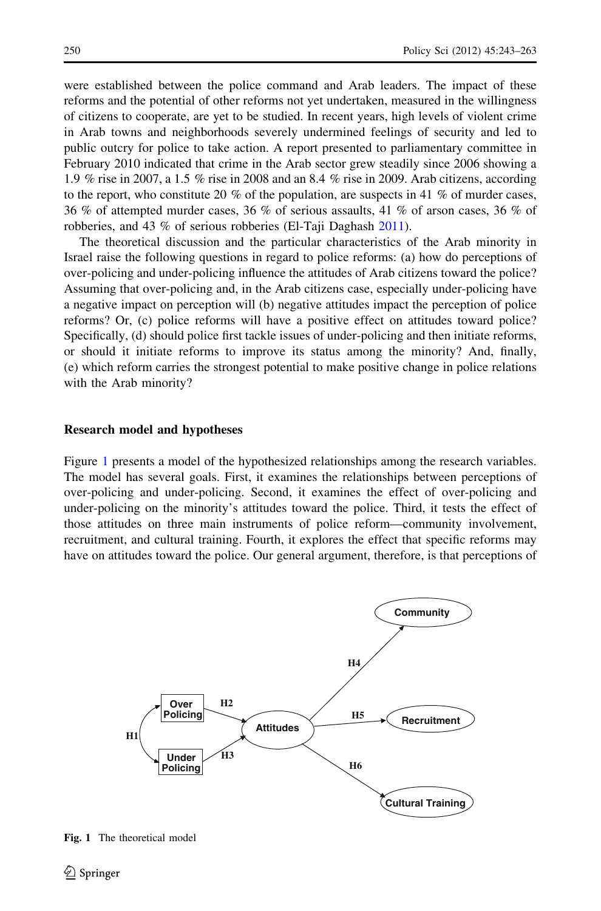<span id="page-7-0"></span>were established between the police command and Arab leaders. The impact of these reforms and the potential of other reforms not yet undertaken, measured in the willingness of citizens to cooperate, are yet to be studied. In recent years, high levels of violent crime in Arab towns and neighborhoods severely undermined feelings of security and led to public outcry for police to take action. A report presented to parliamentary committee in February 2010 indicated that crime in the Arab sector grew steadily since 2006 showing a 1.9 % rise in 2007, a 1.5 % rise in 2008 and an 8.4 % rise in 2009. Arab citizens, according to the report, who constitute 20  $\%$  of the population, are suspects in 41  $\%$  of murder cases, 36 % of attempted murder cases, 36 % of serious assaults, 41 % of arson cases, 36 % of robberies, and 43 % of serious robberies (El-Taji Daghash [2011\)](#page-19-0).

The theoretical discussion and the particular characteristics of the Arab minority in Israel raise the following questions in regard to police reforms: (a) how do perceptions of over-policing and under-policing influence the attitudes of Arab citizens toward the police? Assuming that over-policing and, in the Arab citizens case, especially under-policing have a negative impact on perception will (b) negative attitudes impact the perception of police reforms? Or, (c) police reforms will have a positive effect on attitudes toward police? Specifically, (d) should police first tackle issues of under-policing and then initiate reforms, or should it initiate reforms to improve its status among the minority? And, finally, (e) which reform carries the strongest potential to make positive change in police relations with the Arab minority?

#### Research model and hypotheses

Figure 1 presents a model of the hypothesized relationships among the research variables. The model has several goals. First, it examines the relationships between perceptions of over-policing and under-policing. Second, it examines the effect of over-policing and under-policing on the minority's attitudes toward the police. Third, it tests the effect of those attitudes on three main instruments of police reform—community involvement, recruitment, and cultural training. Fourth, it explores the effect that specific reforms may have on attitudes toward the police. Our general argument, therefore, is that perceptions of



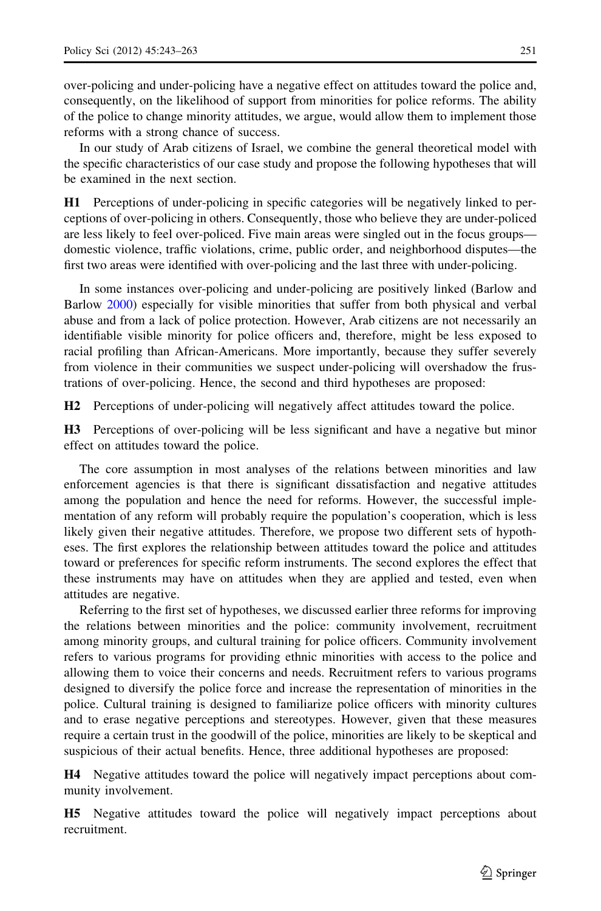over-policing and under-policing have a negative effect on attitudes toward the police and, consequently, on the likelihood of support from minorities for police reforms. The ability of the police to change minority attitudes, we argue, would allow them to implement those reforms with a strong chance of success.

In our study of Arab citizens of Israel, we combine the general theoretical model with the specific characteristics of our case study and propose the following hypotheses that will be examined in the next section.

H1 Perceptions of under-policing in specific categories will be negatively linked to perceptions of over-policing in others. Consequently, those who believe they are under-policed are less likely to feel over-policed. Five main areas were singled out in the focus groups domestic violence, traffic violations, crime, public order, and neighborhood disputes—the first two areas were identified with over-policing and the last three with under-policing.

In some instances over-policing and under-policing are positively linked (Barlow and Barlow [2000](#page-18-0)) especially for visible minorities that suffer from both physical and verbal abuse and from a lack of police protection. However, Arab citizens are not necessarily an identifiable visible minority for police officers and, therefore, might be less exposed to racial profiling than African-Americans. More importantly, because they suffer severely from violence in their communities we suspect under-policing will overshadow the frustrations of over-policing. Hence, the second and third hypotheses are proposed:

H2 Perceptions of under-policing will negatively affect attitudes toward the police.

H3 Perceptions of over-policing will be less significant and have a negative but minor effect on attitudes toward the police.

The core assumption in most analyses of the relations between minorities and law enforcement agencies is that there is significant dissatisfaction and negative attitudes among the population and hence the need for reforms. However, the successful implementation of any reform will probably require the population's cooperation, which is less likely given their negative attitudes. Therefore, we propose two different sets of hypotheses. The first explores the relationship between attitudes toward the police and attitudes toward or preferences for specific reform instruments. The second explores the effect that these instruments may have on attitudes when they are applied and tested, even when attitudes are negative.

Referring to the first set of hypotheses, we discussed earlier three reforms for improving the relations between minorities and the police: community involvement, recruitment among minority groups, and cultural training for police officers. Community involvement refers to various programs for providing ethnic minorities with access to the police and allowing them to voice their concerns and needs. Recruitment refers to various programs designed to diversify the police force and increase the representation of minorities in the police. Cultural training is designed to familiarize police officers with minority cultures and to erase negative perceptions and stereotypes. However, given that these measures require a certain trust in the goodwill of the police, minorities are likely to be skeptical and suspicious of their actual benefits. Hence, three additional hypotheses are proposed:

H4 Negative attitudes toward the police will negatively impact perceptions about community involvement.

H5 Negative attitudes toward the police will negatively impact perceptions about recruitment.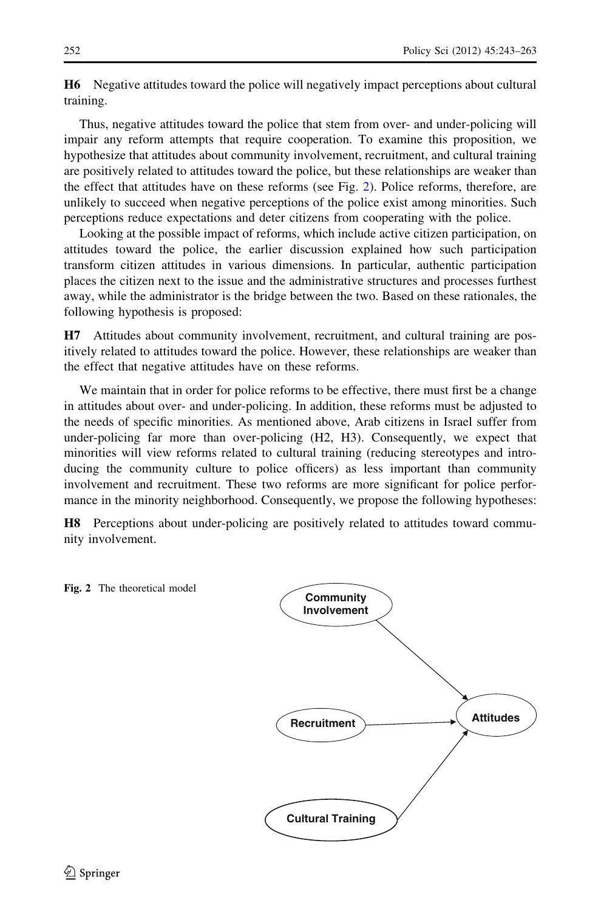<span id="page-9-0"></span>H6 Negative attitudes toward the police will negatively impact perceptions about cultural training.

Thus, negative attitudes toward the police that stem from over- and under-policing will impair any reform attempts that require cooperation. To examine this proposition, we hypothesize that attitudes about community involvement, recruitment, and cultural training are positively related to attitudes toward the police, but these relationships are weaker than the effect that attitudes have on these reforms (see Fig. 2). Police reforms, therefore, are unlikely to succeed when negative perceptions of the police exist among minorities. Such perceptions reduce expectations and deter citizens from cooperating with the police.

Looking at the possible impact of reforms, which include active citizen participation, on attitudes toward the police, the earlier discussion explained how such participation transform citizen attitudes in various dimensions. In particular, authentic participation places the citizen next to the issue and the administrative structures and processes furthest away, while the administrator is the bridge between the two. Based on these rationales, the following hypothesis is proposed:

H7 Attitudes about community involvement, recruitment, and cultural training are positively related to attitudes toward the police. However, these relationships are weaker than the effect that negative attitudes have on these reforms.

We maintain that in order for police reforms to be effective, there must first be a change in attitudes about over- and under-policing. In addition, these reforms must be adjusted to the needs of specific minorities. As mentioned above, Arab citizens in Israel suffer from under-policing far more than over-policing (H2, H3). Consequently, we expect that minorities will view reforms related to cultural training (reducing stereotypes and introducing the community culture to police officers) as less important than community involvement and recruitment. These two reforms are more significant for police performance in the minority neighborhood. Consequently, we propose the following hypotheses:

H8 Perceptions about under-policing are positively related to attitudes toward community involvement.

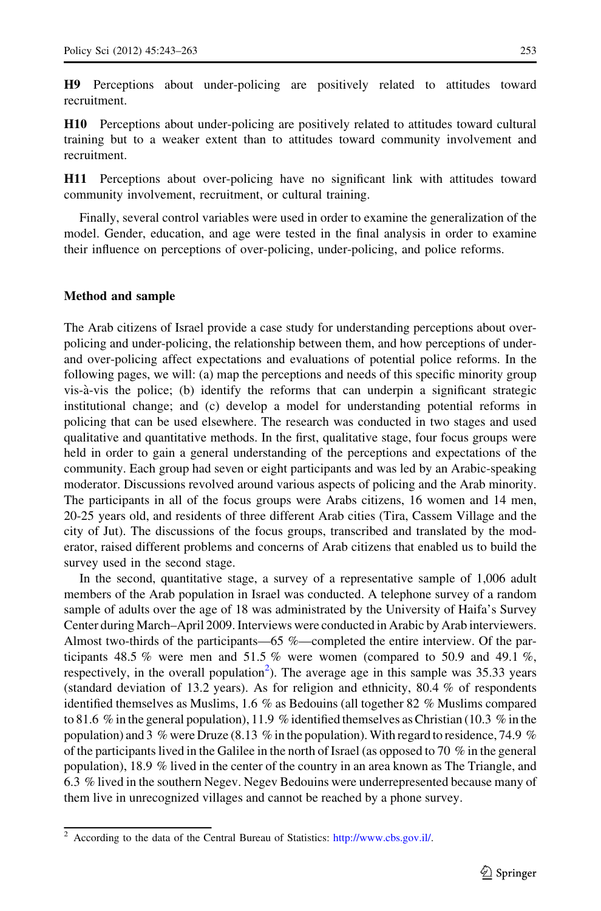H9 Perceptions about under-policing are positively related to attitudes toward recruitment.

H10 Perceptions about under-policing are positively related to attitudes toward cultural training but to a weaker extent than to attitudes toward community involvement and recruitment.

H11 Perceptions about over-policing have no significant link with attitudes toward community involvement, recruitment, or cultural training.

Finally, several control variables were used in order to examine the generalization of the model. Gender, education, and age were tested in the final analysis in order to examine their influence on perceptions of over-policing, under-policing, and police reforms.

## Method and sample

The Arab citizens of Israel provide a case study for understanding perceptions about overpolicing and under-policing, the relationship between them, and how perceptions of underand over-policing affect expectations and evaluations of potential police reforms. In the following pages, we will: (a) map the perceptions and needs of this specific minority group vis-a`-vis the police; (b) identify the reforms that can underpin a significant strategic institutional change; and (c) develop a model for understanding potential reforms in policing that can be used elsewhere. The research was conducted in two stages and used qualitative and quantitative methods. In the first, qualitative stage, four focus groups were held in order to gain a general understanding of the perceptions and expectations of the community. Each group had seven or eight participants and was led by an Arabic-speaking moderator. Discussions revolved around various aspects of policing and the Arab minority. The participants in all of the focus groups were Arabs citizens, 16 women and 14 men, 20-25 years old, and residents of three different Arab cities (Tira, Cassem Village and the city of Jut). The discussions of the focus groups, transcribed and translated by the moderator, raised different problems and concerns of Arab citizens that enabled us to build the survey used in the second stage.

In the second, quantitative stage, a survey of a representative sample of 1,006 adult members of the Arab population in Israel was conducted. A telephone survey of a random sample of adults over the age of 18 was administrated by the University of Haifa's Survey Center during March–April 2009. Interviews were conducted in Arabic by Arab interviewers. Almost two-thirds of the participants—65 %—completed the entire interview. Of the participants 48.5 % were men and 51.5 % were women (compared to 50.9 and 49.1 %, respectively, in the overall population<sup>2</sup>). The average age in this sample was  $35.33$  years (standard deviation of 13.2 years). As for religion and ethnicity, 80.4 % of respondents identified themselves as Muslims, 1.6 % as Bedouins (all together 82 % Muslims compared to 81.6 % in the general population), 11.9 % identified themselves as Christian (10.3 % in the population) and 3 % were Druze (8.13 % in the population). With regard to residence, 74.9 % of the participants lived in the Galilee in the north of Israel (as opposed to 70 % in the general population), 18.9 % lived in the center of the country in an area known as The Triangle, and 6.3 % lived in the southern Negev. Negev Bedouins were underrepresented because many of them live in unrecognized villages and cannot be reached by a phone survey.

<sup>2</sup> According to the data of the Central Bureau of Statistics: <http://www.cbs.gov.il/>.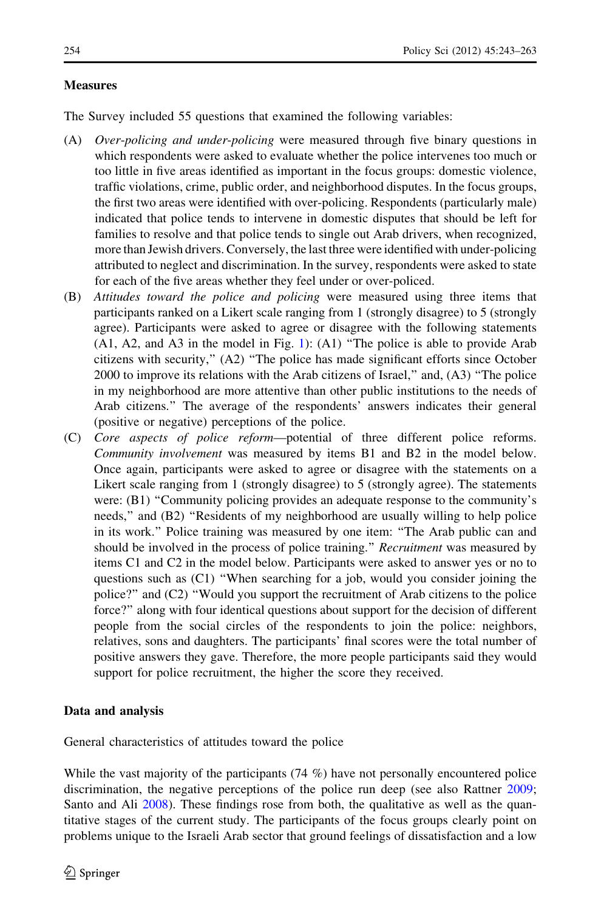## **Measures**

The Survey included 55 questions that examined the following variables:

- (A) Over-policing and under-policing were measured through five binary questions in which respondents were asked to evaluate whether the police intervenes too much or too little in five areas identified as important in the focus groups: domestic violence, traffic violations, crime, public order, and neighborhood disputes. In the focus groups, the first two areas were identified with over-policing. Respondents (particularly male) indicated that police tends to intervene in domestic disputes that should be left for families to resolve and that police tends to single out Arab drivers, when recognized, more than Jewish drivers. Conversely, the last three were identified with under-policing attributed to neglect and discrimination. In the survey, respondents were asked to state for each of the five areas whether they feel under or over-policed.
- (B) Attitudes toward the police and policing were measured using three items that participants ranked on a Likert scale ranging from 1 (strongly disagree) to 5 (strongly agree). Participants were asked to agree or disagree with the following statements (A1, A2, and A3 in the model in Fig. [1](#page-7-0)): (A1) ''The police is able to provide Arab citizens with security,'' (A2) ''The police has made significant efforts since October 2000 to improve its relations with the Arab citizens of Israel,'' and, (A3) ''The police in my neighborhood are more attentive than other public institutions to the needs of Arab citizens.'' The average of the respondents' answers indicates their general (positive or negative) perceptions of the police.
- (C) Core aspects of police reform—potential of three different police reforms. Community involvement was measured by items B1 and B2 in the model below. Once again, participants were asked to agree or disagree with the statements on a Likert scale ranging from 1 (strongly disagree) to 5 (strongly agree). The statements were: (B1) "Community policing provides an adequate response to the community's needs,'' and (B2) ''Residents of my neighborhood are usually willing to help police in its work.'' Police training was measured by one item: ''The Arab public can and should be involved in the process of police training." *Recruitment* was measured by items C1 and C2 in the model below. Participants were asked to answer yes or no to questions such as (C1) ''When searching for a job, would you consider joining the police?'' and (C2) ''Would you support the recruitment of Arab citizens to the police force?'' along with four identical questions about support for the decision of different people from the social circles of the respondents to join the police: neighbors, relatives, sons and daughters. The participants' final scores were the total number of positive answers they gave. Therefore, the more people participants said they would support for police recruitment, the higher the score they received.

## Data and analysis

General characteristics of attitudes toward the police

While the vast majority of the participants  $(74 \%)$  have not personally encountered police discrimination, the negative perceptions of the police run deep (see also Rattner [2009;](#page-20-0) Santo and Ali [2008](#page-20-0)). These findings rose from both, the qualitative as well as the quantitative stages of the current study. The participants of the focus groups clearly point on problems unique to the Israeli Arab sector that ground feelings of dissatisfaction and a low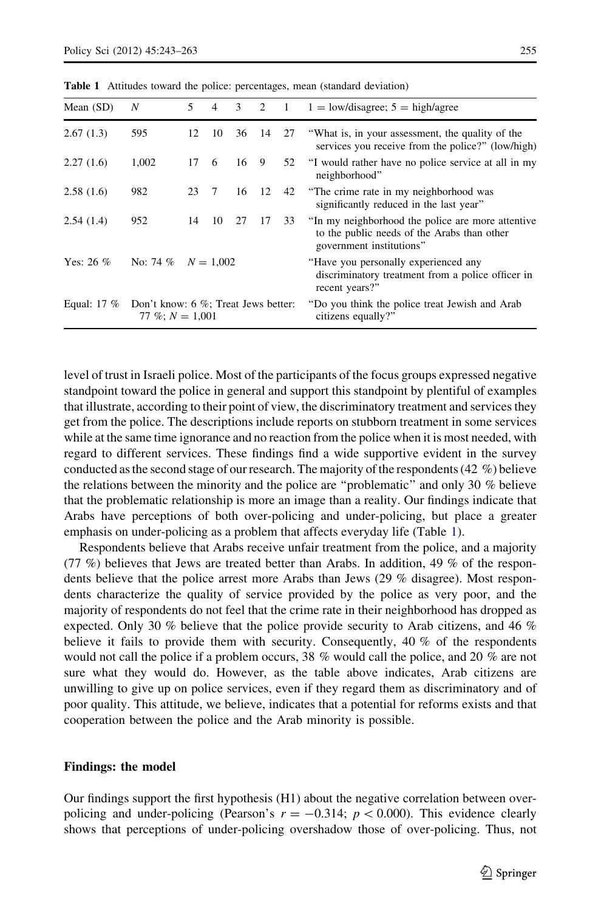|  | i<br>í<br>× |
|--|-------------|
|  |             |

| Mean $(SD)$<br>5.<br>$1 = \text{low/di}$ sagree; $5 = \text{high/agree}$<br>N<br>$3 \t 2 \t 1$<br>4<br>2.67(1.3)<br>595<br>12<br>36<br>10<br>14<br>27<br>"What is, in your assessment, the quality of the |  |
|-----------------------------------------------------------------------------------------------------------------------------------------------------------------------------------------------------------|--|
|                                                                                                                                                                                                           |  |
| services you receive from the police?" (low/high)                                                                                                                                                         |  |
| 1,002<br>2.27(1.6)<br>9<br>16<br>"I would rather have no police service at all in my<br>17<br>6<br>52<br>neighborhood"                                                                                    |  |
| 2.58(1.6)<br>982<br>"The crime rate in my neighborhood was<br>23<br>12<br>7<br>16<br>42<br>significantly reduced in the last year"                                                                        |  |
| 2.54(1.4)<br>952<br>14<br>"In my neighborhood the police are more attentive"<br>10<br>27<br>33<br>17<br>to the public needs of the Arabs than other<br>government institutions"                           |  |
| Yes: 26 $%$<br>No: 74 % $N = 1,002$<br>"Have you personally experienced any<br>discriminatory treatment from a police officer in<br>recent years?"                                                        |  |
| Don't know: $6\%$ ; Treat Jews better:<br>"Do you think the police treat Jewish and Arab"<br>Equal: $17\%$<br>citizens equally?"<br>$77\%$ ; $N = 1,001$                                                  |  |

Table 1 Attitudes toward the police: percentages, mean (standard deviation)

level of trust in Israeli police. Most of the participants of the focus groups expressed negative standpoint toward the police in general and support this standpoint by plentiful of examples that illustrate, according to their point of view, the discriminatory treatment and services they get from the police. The descriptions include reports on stubborn treatment in some services while at the same time ignorance and no reaction from the police when it is most needed, with regard to different services. These findings find a wide supportive evident in the survey conducted as the second stage of our research. The majority of the respondents (42 %) believe the relations between the minority and the police are ''problematic'' and only 30 % believe that the problematic relationship is more an image than a reality. Our findings indicate that Arabs have perceptions of both over-policing and under-policing, but place a greater emphasis on under-policing as a problem that affects everyday life (Table 1).

Respondents believe that Arabs receive unfair treatment from the police, and a majority (77 %) believes that Jews are treated better than Arabs. In addition, 49 % of the respondents believe that the police arrest more Arabs than Jews (29 % disagree). Most respondents characterize the quality of service provided by the police as very poor, and the majority of respondents do not feel that the crime rate in their neighborhood has dropped as expected. Only 30 % believe that the police provide security to Arab citizens, and 46 % believe it fails to provide them with security. Consequently, 40 % of the respondents would not call the police if a problem occurs, 38 % would call the police, and 20 % are not sure what they would do. However, as the table above indicates, Arab citizens are unwilling to give up on police services, even if they regard them as discriminatory and of poor quality. This attitude, we believe, indicates that a potential for reforms exists and that cooperation between the police and the Arab minority is possible.

## Findings: the model

Our findings support the first hypothesis (H1) about the negative correlation between overpolicing and under-policing (Pearson's  $r = -0.314$ ;  $p < 0.000$ ). This evidence clearly shows that perceptions of under-policing overshadow those of over-policing. Thus, not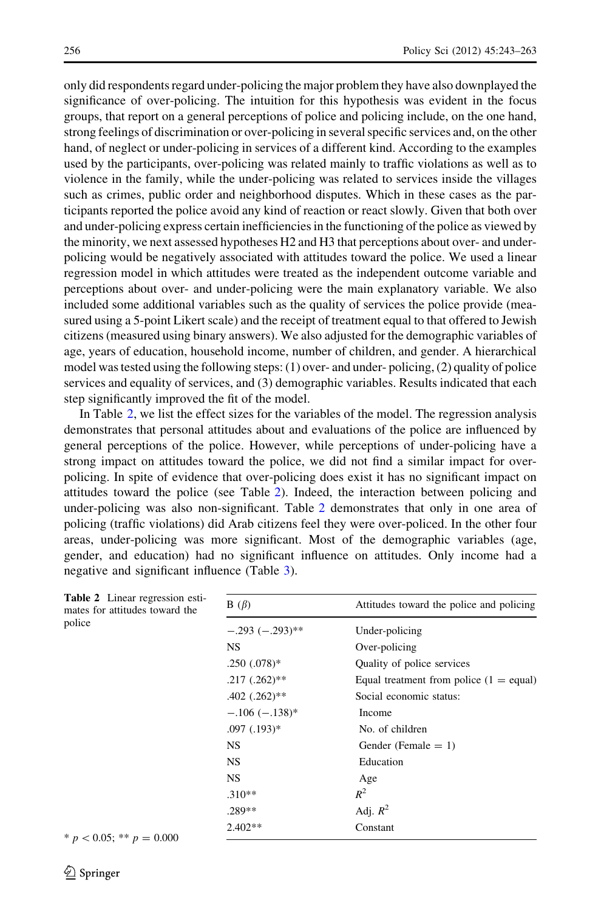only did respondents regard under-policing the major problem they have also downplayed the significance of over-policing. The intuition for this hypothesis was evident in the focus groups, that report on a general perceptions of police and policing include, on the one hand, strong feelings of discrimination or over-policing in several specific services and, on the other hand, of neglect or under-policing in services of a different kind. According to the examples used by the participants, over-policing was related mainly to traffic violations as well as to violence in the family, while the under-policing was related to services inside the villages such as crimes, public order and neighborhood disputes. Which in these cases as the participants reported the police avoid any kind of reaction or react slowly. Given that both over and under-policing express certain inefficiencies in the functioning of the police as viewed by the minority, we next assessed hypotheses H2 and H3 that perceptions about over- and underpolicing would be negatively associated with attitudes toward the police. We used a linear regression model in which attitudes were treated as the independent outcome variable and perceptions about over- and under-policing were the main explanatory variable. We also included some additional variables such as the quality of services the police provide (measured using a 5-point Likert scale) and the receipt of treatment equal to that offered to Jewish citizens (measured using binary answers). We also adjusted for the demographic variables of age, years of education, household income, number of children, and gender. A hierarchical model was tested using the following steps: (1) over- and under- policing, (2) quality of police services and equality of services, and  $(3)$  demographic variables. Results indicated that each step significantly improved the fit of the model.

In Table 2, we list the effect sizes for the variables of the model. The regression analysis demonstrates that personal attitudes about and evaluations of the police are influenced by general perceptions of the police. However, while perceptions of under-policing have a strong impact on attitudes toward the police, we did not find a similar impact for overpolicing. In spite of evidence that over-policing does exist it has no significant impact on attitudes toward the police (see Table 2). Indeed, the interaction between policing and under-policing was also non-significant. Table 2 demonstrates that only in one area of policing (traffic violations) did Arab citizens feel they were over-policed. In the other four areas, under-policing was more significant. Most of the demographic variables (age, gender, and education) had no significant influence on attitudes. Only income had a negative and significant influence (Table [3](#page-14-0)).

| <b>Table 2</b> Linear regression esti-<br>mates for attitudes toward the                                                                                                                                                                                                                                                                                                   | $B(\beta)$        | Attitudes toward the police and policing         |  |
|----------------------------------------------------------------------------------------------------------------------------------------------------------------------------------------------------------------------------------------------------------------------------------------------------------------------------------------------------------------------------|-------------------|--------------------------------------------------|--|
| police                                                                                                                                                                                                                                                                                                                                                                     | $-.293(-.293)$ ** | Under-policing                                   |  |
|                                                                                                                                                                                                                                                                                                                                                                            | <b>NS</b>         | Over-policing                                    |  |
|                                                                                                                                                                                                                                                                                                                                                                            | $.250(.078)*$     | Quality of police services                       |  |
|                                                                                                                                                                                                                                                                                                                                                                            | $.217(.262)$ **   | Equal treatment from police $(1 = \text{equal})$ |  |
|                                                                                                                                                                                                                                                                                                                                                                            | $.402(.262)$ **   | Social economic status:                          |  |
|                                                                                                                                                                                                                                                                                                                                                                            | $-.106 (-.138)$ * | Income                                           |  |
|                                                                                                                                                                                                                                                                                                                                                                            | $.097(.193)*$     | No. of children                                  |  |
|                                                                                                                                                                                                                                                                                                                                                                            | <b>NS</b>         | Gender (Female $= 1$ )                           |  |
|                                                                                                                                                                                                                                                                                                                                                                            | <b>NS</b>         | Education                                        |  |
|                                                                                                                                                                                                                                                                                                                                                                            | <b>NS</b>         | Age                                              |  |
|                                                                                                                                                                                                                                                                                                                                                                            | $.310**$          | $R^2$                                            |  |
|                                                                                                                                                                                                                                                                                                                                                                            | .289**            | Adj. $R^2$                                       |  |
|                                                                                                                                                                                                                                                                                                                                                                            | $2.402**$         | Constant                                         |  |
| $\bigcap_{i=1}^n \bigcap_{i=1}^n \bigcap_{i=1}^n \bigcap_{i=1}^n \bigcap_{i=1}^n \bigcap_{i=1}^n \bigcap_{i=1}^n \bigcap_{i=1}^n \bigcap_{i=1}^n \bigcap_{i=1}^n \bigcap_{i=1}^n \bigcap_{i=1}^n \bigcap_{i=1}^n \bigcap_{i=1}^n \bigcap_{i=1}^n \bigcap_{i=1}^n \bigcap_{i=1}^n \bigcap_{i=1}^n \bigcap_{i=1}^n \bigcap_{i=1}^n \bigcap_{i=1}^n \bigcap_{i=1}^n$<br>0.000 |                   |                                                  |  |

 $* p < 0.05; ** p = 0.000$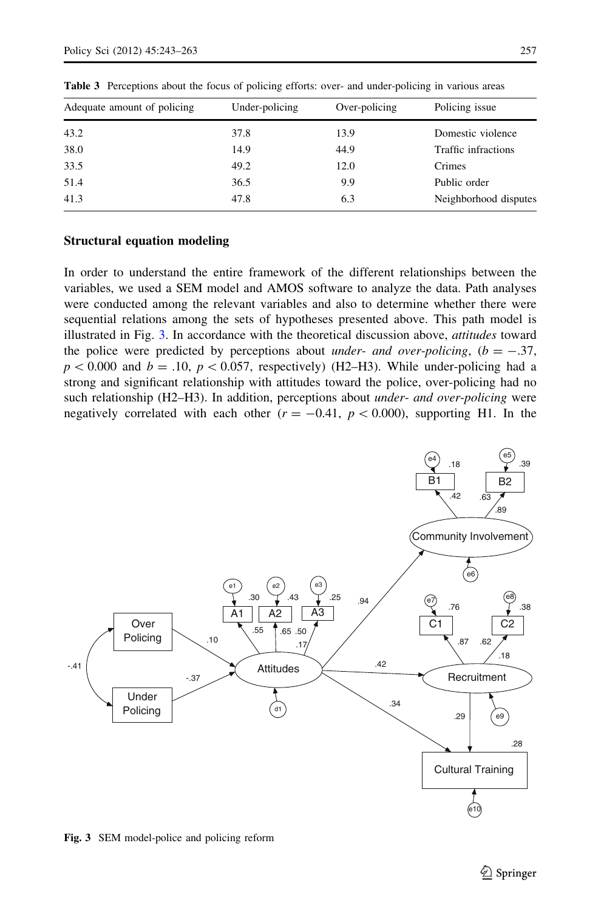| Adequate amount of policing | Under-policing | Over-policing | Policing issue        |
|-----------------------------|----------------|---------------|-----------------------|
| 43.2                        | 37.8           | 13.9          | Domestic violence     |
| 38.0                        | 14.9           | 44.9          | Traffic infractions   |
| 33.5                        | 49.2           | 12.0          | Crimes                |
| 51.4                        | 36.5           | 9.9           | Public order          |
| 41.3                        | 47.8           | 6.3           | Neighborhood disputes |

<span id="page-14-0"></span>Table 3 Perceptions about the focus of policing efforts: over- and under-policing in various areas

# Structural equation modeling

In order to understand the entire framework of the different relationships between the variables, we used a SEM model and AMOS software to analyze the data. Path analyses were conducted among the relevant variables and also to determine whether there were sequential relations among the sets of hypotheses presented above. This path model is illustrated in Fig. 3. In accordance with the theoretical discussion above, attitudes toward the police were predicted by perceptions about *under-* and over-policing,  $(b = -.37,$  $p\lt 0.000$  and  $b = .10$ ,  $p\lt 0.057$ , respectively) (H2–H3). While under-policing had a strong and significant relationship with attitudes toward the police, over-policing had no such relationship (H2–H3). In addition, perceptions about *under- and over-policing* were negatively correlated with each other  $(r = -0.41, p < 0.000)$ , supporting H1. In the



Fig. 3 SEM model-police and policing reform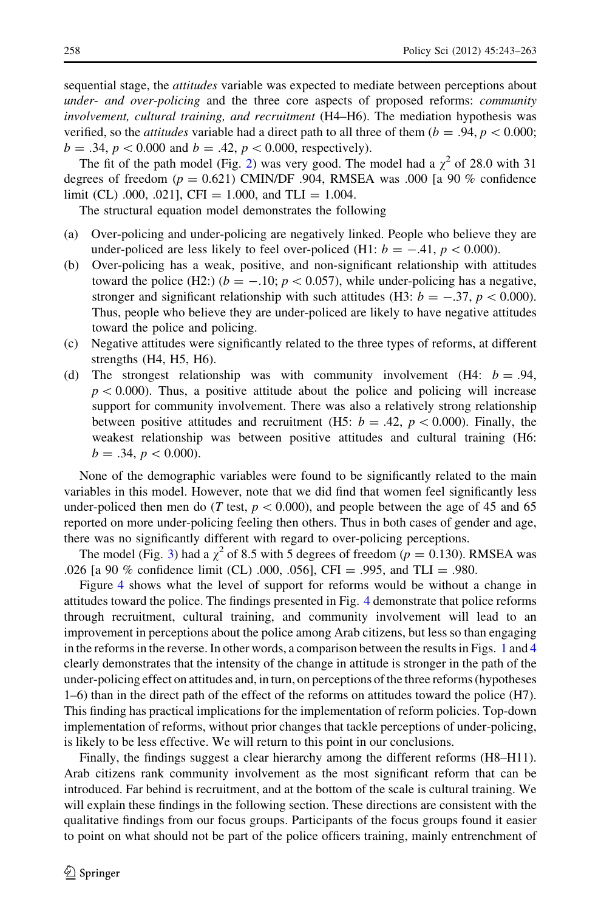sequential stage, the *attitudes* variable was expected to mediate between perceptions about under- and over-policing and the three core aspects of proposed reforms: *community* involvement, cultural training, and recruitment (H4–H6). The mediation hypothesis was verified, so the *attitudes* variable had a direct path to all three of them ( $b = .94$ ,  $p < 0.000$ ;  $b = .34$ ,  $p < 0.000$  and  $b = .42$ ,  $p < 0.000$ , respectively).

The fit of the path model (Fig. [2\)](#page-9-0) was very good. The model had a  $\chi^2$  of 28.0 with 31 degrees of freedom ( $p = 0.621$ ) CMIN/DF .904, RMSEA was .000 [a 90 % confidence limit (CL) .000, .021], CFI = 1.000, and TLI = 1.004.

The structural equation model demonstrates the following

- (a) Over-policing and under-policing are negatively linked. People who believe they are under-policed are less likely to feel over-policed (H1:  $b = -.41$ ,  $p < 0.000$ ).
- (b) Over-policing has a weak, positive, and non-significant relationship with attitudes toward the police (H2:) ( $b = -.10$ ;  $p < 0.057$ ), while under-policing has a negative, stronger and significant relationship with such attitudes (H3:  $b = -.37$ ,  $p < 0.000$ ). Thus, people who believe they are under-policed are likely to have negative attitudes toward the police and policing.
- (c) Negative attitudes were significantly related to the three types of reforms, at different strengths (H4, H5, H6).
- (d) The strongest relationship was with community involvement  $(H4: b = .94, ...)$  $p<0.000$ ). Thus, a positive attitude about the police and policing will increase support for community involvement. There was also a relatively strong relationship between positive attitudes and recruitment (H5:  $b = .42$ ,  $p < 0.000$ ). Finally, the weakest relationship was between positive attitudes and cultural training (H6:  $b = .34, p < 0.000$ .

None of the demographic variables were found to be significantly related to the main variables in this model. However, note that we did find that women feel significantly less under-policed then men do (T test,  $p < 0.000$ ), and people between the age of 45 and 65 reported on more under-policing feeling then others. Thus in both cases of gender and age, there was no significantly different with regard to over-policing perceptions.

The model (Fig. [3](#page-14-0)) had a  $\chi^2$  of 8.5 with 5 degrees of freedom ( $p = 0.130$ ). RMSEA was .026 [a 90 % confidence limit (CL) .000, .056], CFI = .995, and TLI = .980.

Figure [4](#page-16-0) shows what the level of support for reforms would be without a change in attitudes toward the police. The findings presented in Fig. [4](#page-16-0) demonstrate that police reforms through recruitment, cultural training, and community involvement will lead to an improvement in perceptions about the police among Arab citizens, but less so than engaging in the reforms in the reverse. In other words, a comparison between the results in Figs. [1](#page-7-0) and [4](#page-16-0) clearly demonstrates that the intensity of the change in attitude is stronger in the path of the under-policing effect on attitudes and, in turn, on perceptions of the three reforms (hypotheses 1–6) than in the direct path of the effect of the reforms on attitudes toward the police (H7). This finding has practical implications for the implementation of reform policies. Top-down implementation of reforms, without prior changes that tackle perceptions of under-policing, is likely to be less effective. We will return to this point in our conclusions.

Finally, the findings suggest a clear hierarchy among the different reforms (H8–H11). Arab citizens rank community involvement as the most significant reform that can be introduced. Far behind is recruitment, and at the bottom of the scale is cultural training. We will explain these findings in the following section. These directions are consistent with the qualitative findings from our focus groups. Participants of the focus groups found it easier to point on what should not be part of the police officers training, mainly entrenchment of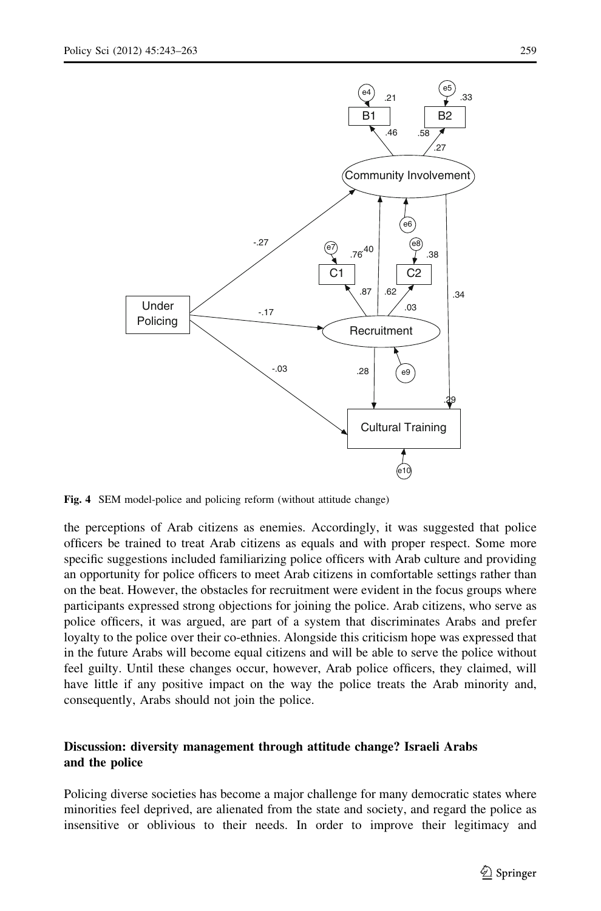<span id="page-16-0"></span>

Fig. 4 SEM model-police and policing reform (without attitude change)

the perceptions of Arab citizens as enemies. Accordingly, it was suggested that police officers be trained to treat Arab citizens as equals and with proper respect. Some more specific suggestions included familiarizing police officers with Arab culture and providing an opportunity for police officers to meet Arab citizens in comfortable settings rather than on the beat. However, the obstacles for recruitment were evident in the focus groups where participants expressed strong objections for joining the police. Arab citizens, who serve as police officers, it was argued, are part of a system that discriminates Arabs and prefer loyalty to the police over their co-ethnies. Alongside this criticism hope was expressed that in the future Arabs will become equal citizens and will be able to serve the police without feel guilty. Until these changes occur, however, Arab police officers, they claimed, will have little if any positive impact on the way the police treats the Arab minority and, consequently, Arabs should not join the police.

# Discussion: diversity management through attitude change? Israeli Arabs and the police

Policing diverse societies has become a major challenge for many democratic states where minorities feel deprived, are alienated from the state and society, and regard the police as insensitive or oblivious to their needs. In order to improve their legitimacy and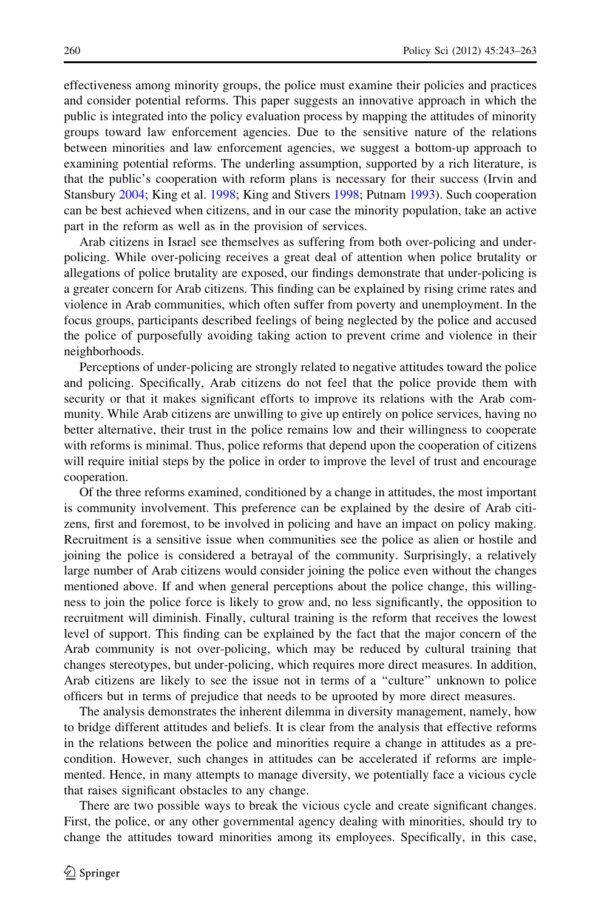effectiveness among minority groups, the police must examine their policies and practices and consider potential reforms. This paper suggests an innovative approach in which the public is integrated into the policy evaluation process by mapping the attitudes of minority groups toward law enforcement agencies. Due to the sensitive nature of the relations between minorities and law enforcement agencies, we suggest a bottom-up approach to examining potential reforms. The underling assumption, supported by a rich literature, is that the public's cooperation with reform plans is necessary for their success (Irvin and Stansbury [2004](#page-19-0); King et al. [1998;](#page-19-0) King and Stivers [1998;](#page-19-0) Putnam [1993](#page-19-0)). Such cooperation can be best achieved when citizens, and in our case the minority population, take an active part in the reform as well as in the provision of services.

Arab citizens in Israel see themselves as suffering from both over-policing and underpolicing. While over-policing receives a great deal of attention when police brutality or allegations of police brutality are exposed, our findings demonstrate that under-policing is a greater concern for Arab citizens. This finding can be explained by rising crime rates and violence in Arab communities, which often suffer from poverty and unemployment. In the focus groups, participants described feelings of being neglected by the police and accused the police of purposefully avoiding taking action to prevent crime and violence in their neighborhoods.

Perceptions of under-policing are strongly related to negative attitudes toward the police and policing. Specifically, Arab citizens do not feel that the police provide them with security or that it makes significant efforts to improve its relations with the Arab community. While Arab citizens are unwilling to give up entirely on police services, having no better alternative, their trust in the police remains low and their willingness to cooperate with reforms is minimal. Thus, police reforms that depend upon the cooperation of citizens will require initial steps by the police in order to improve the level of trust and encourage cooperation.

Of the three reforms examined, conditioned by a change in attitudes, the most important is community involvement. This preference can be explained by the desire of Arab citizens, first and foremost, to be involved in policing and have an impact on policy making. Recruitment is a sensitive issue when communities see the police as alien or hostile and joining the police is considered a betrayal of the community. Surprisingly, a relatively large number of Arab citizens would consider joining the police even without the changes mentioned above. If and when general perceptions about the police change, this willingness to join the police force is likely to grow and, no less significantly, the opposition to recruitment will diminish. Finally, cultural training is the reform that receives the lowest level of support. This finding can be explained by the fact that the major concern of the Arab community is not over-policing, which may be reduced by cultural training that changes stereotypes, but under-policing, which requires more direct measures. In addition, Arab citizens are likely to see the issue not in terms of a ''culture'' unknown to police officers but in terms of prejudice that needs to be uprooted by more direct measures.

The analysis demonstrates the inherent dilemma in diversity management, namely, how to bridge different attitudes and beliefs. It is clear from the analysis that effective reforms in the relations between the police and minorities require a change in attitudes as a precondition. However, such changes in attitudes can be accelerated if reforms are implemented. Hence, in many attempts to manage diversity, we potentially face a vicious cycle that raises significant obstacles to any change.

There are two possible ways to break the vicious cycle and create significant changes. First, the police, or any other governmental agency dealing with minorities, should try to change the attitudes toward minorities among its employees. Specifically, in this case,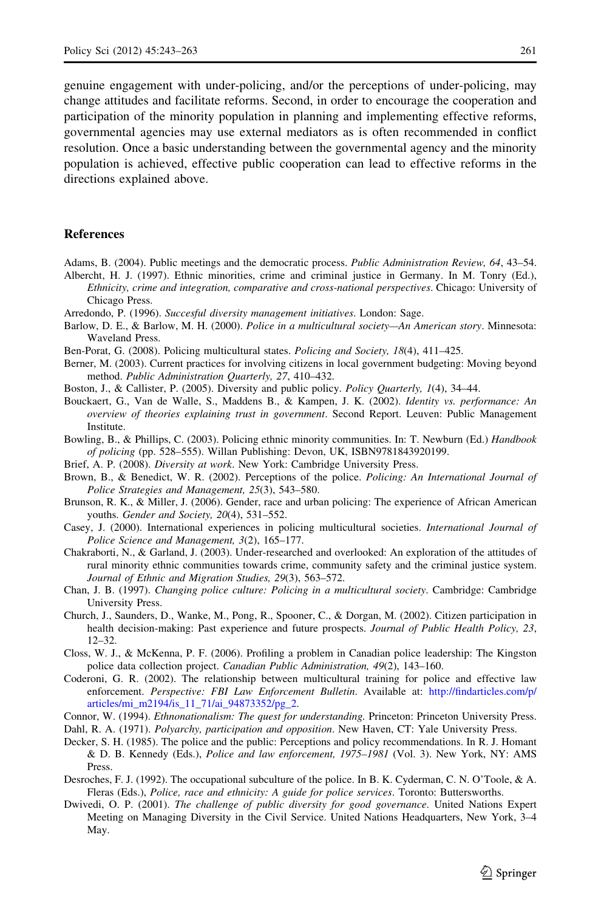<span id="page-18-0"></span>genuine engagement with under-policing, and/or the perceptions of under-policing, may change attitudes and facilitate reforms. Second, in order to encourage the cooperation and participation of the minority population in planning and implementing effective reforms, governmental agencies may use external mediators as is often recommended in conflict resolution. Once a basic understanding between the governmental agency and the minority population is achieved, effective public cooperation can lead to effective reforms in the directions explained above.

## References

Press.

Adams, B. (2004). Public meetings and the democratic process. Public Administration Review, 64, 43–54.

- Albercht, H. J. (1997). Ethnic minorities, crime and criminal justice in Germany. In M. Tonry (Ed.), Ethnicity, crime and integration, comparative and cross-national perspectives. Chicago: University of Chicago Press.
- Arredondo, P. (1996). Succesful diversity management initiatives. London: Sage.
- Barlow, D. E., & Barlow, M. H. (2000). Police in a multicultural society-An American story. Minnesota: Waveland Press.
- Ben-Porat, G. (2008). Policing multicultural states. Policing and Society, 18(4), 411–425.
- Berner, M. (2003). Current practices for involving citizens in local government budgeting: Moving beyond method. Public Administration Quarterly, 27, 410–432.
- Boston, J., & Callister, P. (2005). Diversity and public policy. Policy Quarterly, 1(4), 34–44.
- Bouckaert, G., Van de Walle, S., Maddens B., & Kampen, J. K. (2002). Identity vs. performance: An overview of theories explaining trust in government. Second Report. Leuven: Public Management Institute.
- Bowling, B., & Phillips, C. (2003). Policing ethnic minority communities. In: T. Newburn (Ed.) *Handbook* of policing (pp. 528–555). Willan Publishing: Devon, UK, ISBN9781843920199.
- Brief, A. P. (2008). Diversity at work. New York: Cambridge University Press.
- Brown, B., & Benedict, W. R. (2002). Perceptions of the police. Policing: An International Journal of Police Strategies and Management, 25(3), 543–580.
- Brunson, R. K., & Miller, J. (2006). Gender, race and urban policing: The experience of African American youths. Gender and Society, 20(4), 531-552.
- Casey, J. (2000). International experiences in policing multicultural societies. International Journal of Police Science and Management, 3(2), 165–177.
- Chakraborti, N., & Garland, J. (2003). Under-researched and overlooked: An exploration of the attitudes of rural minority ethnic communities towards crime, community safety and the criminal justice system. Journal of Ethnic and Migration Studies, 29(3), 563–572.
- Chan, J. B. (1997). Changing police culture: Policing in a multicultural society. Cambridge: Cambridge University Press.
- Church, J., Saunders, D., Wanke, M., Pong, R., Spooner, C., & Dorgan, M. (2002). Citizen participation in health decision-making: Past experience and future prospects. Journal of Public Health Policy, 23, 12–32.
- Closs, W. J., & McKenna, P. F. (2006). Profiling a problem in Canadian police leadership: The Kingston police data collection project. Canadian Public Administration, 49(2), 143–160.
- Coderoni, G. R. (2002). The relationship between multicultural training for police and effective law enforcement. Perspective: FBI Law Enforcement Bulletin. Available at: [http://findarticles.com/p/](http://findarticles.com/p/articles/mi_m2194/is_11_71/ai_94873352/pg_2) [articles/mi\\_m2194/is\\_11\\_71/ai\\_94873352/pg\\_2.](http://findarticles.com/p/articles/mi_m2194/is_11_71/ai_94873352/pg_2)
- Connor, W. (1994). Ethnonationalism: The quest for understanding. Princeton: Princeton University Press. Dahl, R. A. (1971). Polyarchy, participation and opposition. New Haven, CT: Yale University Press.
- Decker, S. H. (1985). The police and the public: Perceptions and policy recommendations. In R. J. Homant & D. B. Kennedy (Eds.), Police and law enforcement, 1975–1981 (Vol. 3). New York, NY: AMS
- Desroches, F. J. (1992). The occupational subculture of the police. In B. K. Cyderman, C. N. O'Toole, & A. Fleras (Eds.), Police, race and ethnicity: A guide for police services. Toronto: Buttersworths.
- Dwivedi, O. P. (2001). The challenge of public diversity for good governance. United Nations Expert Meeting on Managing Diversity in the Civil Service. United Nations Headquarters, New York, 3–4 May.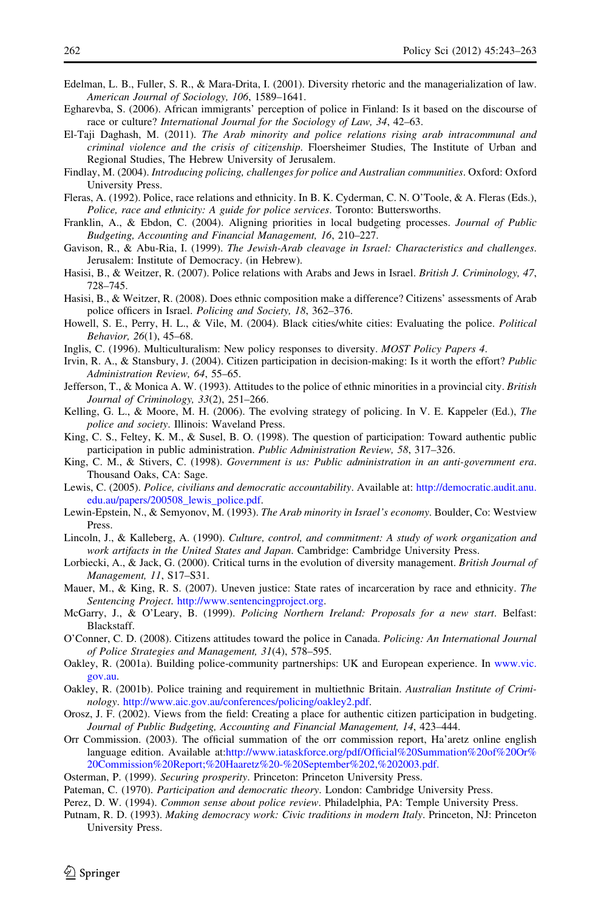- <span id="page-19-0"></span>Edelman, L. B., Fuller, S. R., & Mara-Drita, I. (2001). Diversity rhetoric and the managerialization of law. American Journal of Sociology, 106, 1589–1641.
- Egharevba, S. (2006). African immigrants' perception of police in Finland: Is it based on the discourse of race or culture? International Journal for the Sociology of Law, 34, 42–63.
- El-Taji Daghash, M. (2011). The Arab minority and police relations rising arab intracommunal and criminal violence and the crisis of citizenship. Floersheimer Studies, The Institute of Urban and Regional Studies, The Hebrew University of Jerusalem.
- Findlay, M. (2004). Introducing policing, challenges for police and Australian communities. Oxford: Oxford University Press.
- Fleras, A. (1992). Police, race relations and ethnicity. In B. K. Cyderman, C. N. O'Toole, & A. Fleras (Eds.), Police, race and ethnicity: A guide for police services. Toronto: Buttersworths.
- Franklin, A., & Ebdon, C. (2004). Aligning priorities in local budgeting processes. *Journal of Public* Budgeting, Accounting and Financial Management, 16, 210–227.
- Gavison, R., & Abu-Ria, I. (1999). The Jewish-Arab cleavage in Israel: Characteristics and challenges. Jerusalem: Institute of Democracy. (in Hebrew).
- Hasisi, B., & Weitzer, R. (2007). Police relations with Arabs and Jews in Israel. British J. Criminology, 47, 728–745.
- Hasisi, B., & Weitzer, R. (2008). Does ethnic composition make a difference? Citizens' assessments of Arab police officers in Israel. Policing and Society, 18, 362–376.
- Howell, S. E., Perry, H. L., & Vile, M. (2004). Black cities/white cities: Evaluating the police. *Political* Behavior, 26(1), 45–68.
- Inglis, C. (1996). Multiculturalism: New policy responses to diversity. MOST Policy Papers 4.
- Irvin, R. A., & Stansbury, J. (2004). Citizen participation in decision-making: Is it worth the effort? Public Administration Review, 64, 55–65.
- Jefferson, T., & Monica A. W. (1993). Attitudes to the police of ethnic minorities in a provincial city. British Journal of Criminology, 33(2), 251–266.
- Kelling, G. L., & Moore, M. H. (2006). The evolving strategy of policing. In V. E. Kappeler (Ed.), The police and society. Illinois: Waveland Press.
- King, C. S., Feltey, K. M., & Susel, B. O. (1998). The question of participation: Toward authentic public participation in public administration. Public Administration Review, 58, 317–326.
- King, C. M., & Stivers, C. (1998). Government is us: Public administration in an anti-government era. Thousand Oaks, CA: Sage.
- Lewis, C. (2005). Police, civilians and democratic accountability. Available at: [http://democratic.audit.anu.](http://democratic.audit.anu.edu.au/papers/200508_lewis_police.pdf) [edu.au/papers/200508\\_lewis\\_police.pdf.](http://democratic.audit.anu.edu.au/papers/200508_lewis_police.pdf)
- Lewin-Epstein, N., & Semyonov, M. (1993). The Arab minority in Israel's economy. Boulder, Co: Westview Press.
- Lincoln, J., & Kalleberg, A. (1990). Culture, control, and commitment: A study of work organization and work artifacts in the United States and Japan. Cambridge: Cambridge University Press.
- Lorbiecki, A., & Jack, G. (2000). Critical turns in the evolution of diversity management. British Journal of Management, 11, S17–S31.
- Mauer, M., & King, R. S. (2007). Uneven justice: State rates of incarceration by race and ethnicity. The Sentencing Project. [http://www.sentencingproject.org.](http://www.sentencingproject.org)
- McGarry, J., & O'Leary, B. (1999). Policing Northern Ireland: Proposals for a new start. Belfast: Blackstaff.
- O'Conner, C. D. (2008). Citizens attitudes toward the police in Canada. Policing: An International Journal of Police Strategies and Management, 31(4), 578–595.
- Oakley, R. (2001a). Building police-community partnerships: UK and European experience. In [www.vic.](http://www.vic.gov.au) [gov.au](http://www.vic.gov.au).
- Oakley, R. (2001b). Police training and requirement in multiethnic Britain. Australian Institute of Criminology. [http://www.aic.gov.au/conferences/policing/oakley2.pdf.](http://www.aic.gov.au/conferences/policing/oakley2.pdf)
- Orosz, J. F. (2002). Views from the field: Creating a place for authentic citizen participation in budgeting. Journal of Public Budgeting, Accounting and Financial Management, 14, 423–444.
- Orr Commission. (2003). The official summation of the orr commission report, Ha'aretz online english language edition. Available at[:http://www.iataskforce.org/pdf/Official%20Summation%20of%20Or%](http://www.iataskforce.org/pdf/Official%20Summation%20of%20Or%20Commission%20Report;%20Haaretz%20-%20September%202,%202003.pdf) [20Commission%20Report;%20Haaretz%20-%20September%202,%202003.pdf.](http://www.iataskforce.org/pdf/Official%20Summation%20of%20Or%20Commission%20Report;%20Haaretz%20-%20September%202,%202003.pdf)
- Osterman, P. (1999). Securing prosperity. Princeton: Princeton University Press.
- Pateman, C. (1970). Participation and democratic theory. London: Cambridge University Press.
- Perez, D. W. (1994). *Common sense about police review*. Philadelphia, PA: Temple University Press.
- Putnam, R. D. (1993). Making democracy work: Civic traditions in modern Italy. Princeton, NJ: Princeton University Press.